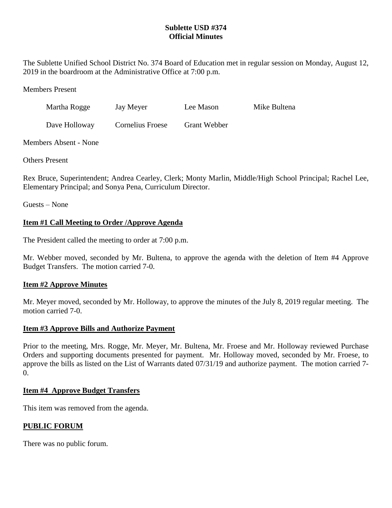## **Sublette USD #374 Official Minutes**

The Sublette Unified School District No. 374 Board of Education met in regular session on Monday, August 12, 2019 in the boardroom at the Administrative Office at 7:00 p.m.

Members Present

| Martha Rogge | Jay Meyer | Lee Mason | Mike Bultena |
|--------------|-----------|-----------|--------------|
|              |           |           |              |

Dave Holloway Cornelius Froese Grant Webber

Members Absent - None

Others Present

Rex Bruce, Superintendent; Andrea Cearley, Clerk; Monty Marlin, Middle/High School Principal; Rachel Lee, Elementary Principal; and Sonya Pena, Curriculum Director.

Guests – None

# **Item #1 Call Meeting to Order /Approve Agenda**

The President called the meeting to order at 7:00 p.m.

Mr. Webber moved, seconded by Mr. Bultena, to approve the agenda with the deletion of Item #4 Approve Budget Transfers. The motion carried 7-0.

# **Item #2 Approve Minutes**

Mr. Meyer moved, seconded by Mr. Holloway, to approve the minutes of the July 8, 2019 regular meeting. The motion carried 7-0.

# **Item #3 Approve Bills and Authorize Payment**

Prior to the meeting, Mrs. Rogge, Mr. Meyer, Mr. Bultena, Mr. Froese and Mr. Holloway reviewed Purchase Orders and supporting documents presented for payment. Mr. Holloway moved, seconded by Mr. Froese, to approve the bills as listed on the List of Warrants dated 07/31/19 and authorize payment. The motion carried 7-  $\Omega$ .

# **Item #4 Approve Budget Transfers**

This item was removed from the agenda.

# **PUBLIC FORUM**

There was no public forum.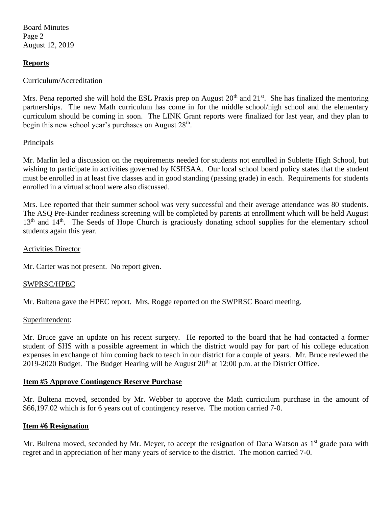Board Minutes Page 2 August 12, 2019

## **Reports**

#### Curriculum/Accreditation

Mrs. Pena reported she will hold the ESL Praxis prep on August  $20<sup>th</sup>$  and  $21<sup>st</sup>$ . She has finalized the mentoring partnerships. The new Math curriculum has come in for the middle school/high school and the elementary curriculum should be coming in soon. The LINK Grant reports were finalized for last year, and they plan to begin this new school year's purchases on August  $28<sup>th</sup>$ .

### **Principals**

Mr. Marlin led a discussion on the requirements needed for students not enrolled in Sublette High School, but wishing to participate in activities governed by KSHSAA. Our local school board policy states that the student must be enrolled in at least five classes and in good standing (passing grade) in each. Requirements for students enrolled in a virtual school were also discussed.

Mrs. Lee reported that their summer school was very successful and their average attendance was 80 students. The ASQ Pre-Kinder readiness screening will be completed by parents at enrollment which will be held August  $13<sup>th</sup>$  and  $14<sup>th</sup>$ . The Seeds of Hope Church is graciously donating school supplies for the elementary school students again this year.

#### Activities Director

Mr. Carter was not present. No report given.

### SWPRSC/HPEC

Mr. Bultena gave the HPEC report. Mrs. Rogge reported on the SWPRSC Board meeting.

#### Superintendent:

Mr. Bruce gave an update on his recent surgery. He reported to the board that he had contacted a former student of SHS with a possible agreement in which the district would pay for part of his college education expenses in exchange of him coming back to teach in our district for a couple of years. Mr. Bruce reviewed the 2019-2020 Budget. The Budget Hearing will be August  $20<sup>th</sup>$  at 12:00 p.m. at the District Office.

#### **Item #5 Approve Contingency Reserve Purchase**

Mr. Bultena moved, seconded by Mr. Webber to approve the Math curriculum purchase in the amount of \$66,197.02 which is for 6 years out of contingency reserve. The motion carried 7-0.

### **Item #6 Resignation**

Mr. Bultena moved, seconded by Mr. Meyer, to accept the resignation of Dana Watson as  $1<sup>st</sup>$  grade para with regret and in appreciation of her many years of service to the district. The motion carried 7-0.